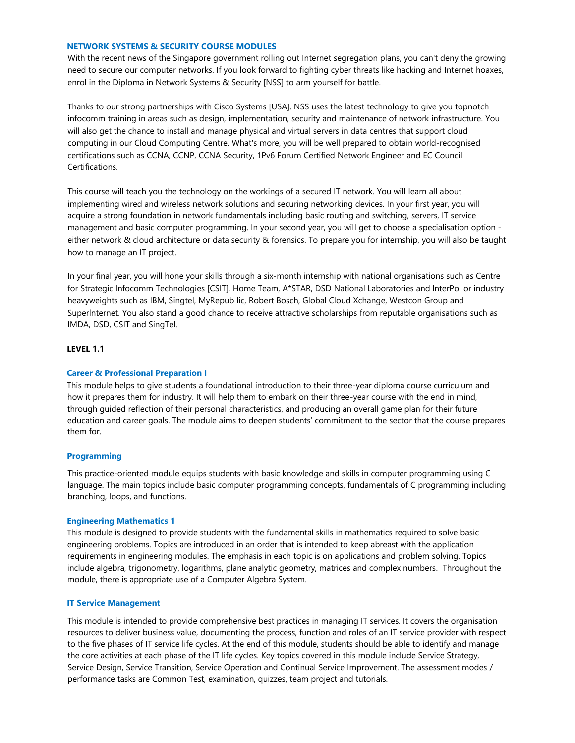## **NETWORK SYSTEMS & SECURITY COURSE MODULES**

With the recent news of the Singapore government rolling out Internet segregation plans, you can't deny the growing need to secure our computer networks. If you look forward to fighting cyber threats like hacking and Internet hoaxes, enrol in the Diploma in Network Systems & Security [NSS] to arm yourself for battle.

Thanks to our strong partnerships with Cisco Systems [USA]. NSS uses the latest technology to give you topnotch infocomm training in areas such as design, implementation, security and maintenance of network infrastructure. You will also get the chance to install and manage physical and virtual servers in data centres that support cloud computing in our Cloud Computing Centre. What's more, you will be well prepared to obtain world-recognised certifications such as CCNA, CCNP, CCNA Security, 1Pv6 Forum Certified Network Engineer and EC Council Certifications.

This course will teach you the technology on the workings of a secured IT network. You will learn all about implementing wired and wireless network solutions and securing networking devices. In your first year, you will acquire a strong foundation in network fundamentals including basic routing and switching, servers, IT service management and basic computer programming. In your second year, you will get to choose a specialisation option either network & cloud architecture or data security & forensics. To prepare you for internship, you will also be taught how to manage an IT project.

In your final year, you will hone your skills through a six-month internship with national organisations such as Centre for Strategic lnfocomm Technologies [CSIT]. Home Team, A\*STAR, DSD National Laboratories and lnterPol or industry heavyweights such as IBM, Singtel, MyRepub lic, Robert Bosch, Global Cloud Xchange, Westcon Group and Superlnternet. You also stand a good chance to receive attractive scholarships from reputable organisations such as IMDA, DSD, CSIT and SingTel.

# **LEVEL 1.1**

## **Career & Professional Preparation I**

This module helps to give students a foundational introduction to their three-year diploma course curriculum and how it prepares them for industry. It will help them to embark on their three-year course with the end in mind, through guided reflection of their personal characteristics, and producing an overall game plan for their future education and career goals. The module aims to deepen students' commitment to the sector that the course prepares them for.

## **Programming**

This practice-oriented module equips students with basic knowledge and skills in computer programming using C language. The main topics include basic computer programming concepts, fundamentals of C programming including branching, loops, and functions.

#### **Engineering Mathematics 1**

This module is designed to provide students with the fundamental skills in mathematics required to solve basic engineering problems. Topics are introduced in an order that is intended to keep abreast with the application requirements in engineering modules. The emphasis in each topic is on applications and problem solving. Topics include algebra, trigonometry, logarithms, plane analytic geometry, matrices and complex numbers. Throughout the module, there is appropriate use of a Computer Algebra System.

## **IT Service Management**

This module is intended to provide comprehensive best practices in managing IT services. It covers the organisation resources to deliver business value, documenting the process, function and roles of an IT service provider with respect to the five phases of IT service life cycles. At the end of this module, students should be able to identify and manage the core activities at each phase of the IT life cycles. Key topics covered in this module include Service Strategy, Service Design, Service Transition, Service Operation and Continual Service Improvement. The assessment modes / performance tasks are Common Test, examination, quizzes, team project and tutorials.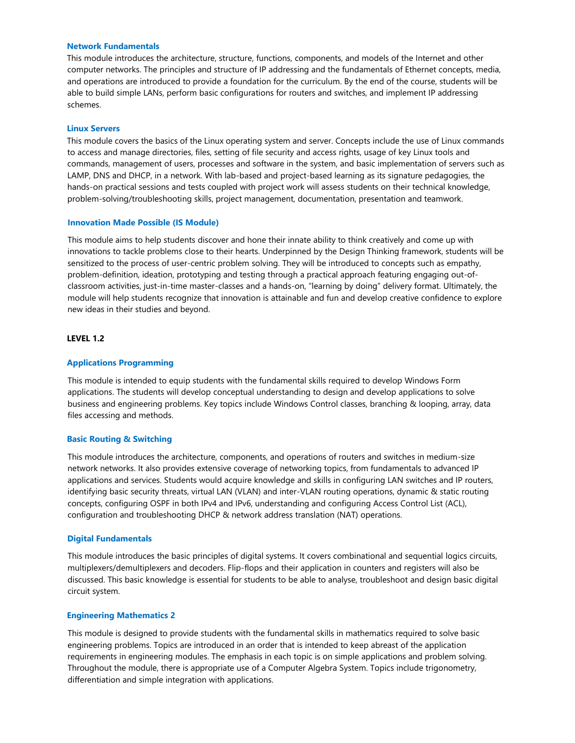### **Network Fundamentals**

This module introduces the architecture, structure, functions, components, and models of the Internet and other computer networks. The principles and structure of IP addressing and the fundamentals of Ethernet concepts, media, and operations are introduced to provide a foundation for the curriculum. By the end of the course, students will be able to build simple LANs, perform basic configurations for routers and switches, and implement IP addressing schemes.

#### **Linux Servers**

This module covers the basics of the Linux operating system and server. Concepts include the use of Linux commands to access and manage directories, files, setting of file security and access rights, usage of key Linux tools and commands, management of users, processes and software in the system, and basic implementation of servers such as LAMP, DNS and DHCP, in a network. With lab-based and project-based learning as its signature pedagogies, the hands-on practical sessions and tests coupled with project work will assess students on their technical knowledge, problem-solving/troubleshooting skills, project management, documentation, presentation and teamwork.

### **Innovation Made Possible (IS Module)**

This module aims to help students discover and hone their innate ability to think creatively and come up with innovations to tackle problems close to their hearts. Underpinned by the Design Thinking framework, students will be sensitized to the process of user-centric problem solving. They will be introduced to concepts such as empathy, problem-definition, ideation, prototyping and testing through a practical approach featuring engaging out-ofclassroom activities, just-in-time master-classes and a hands-on, "learning by doing" delivery format. Ultimately, the module will help students recognize that innovation is attainable and fun and develop creative confidence to explore new ideas in their studies and beyond.

### **LEVEL 1.2**

## **Applications Programming**

This module is intended to equip students with the fundamental skills required to develop Windows Form applications. The students will develop conceptual understanding to design and develop applications to solve business and engineering problems. Key topics include Windows Control classes, branching & looping, array, data files accessing and methods.

## **Basic Routing & Switching**

This module introduces the architecture, components, and operations of routers and switches in medium-size network networks. It also provides extensive coverage of networking topics, from fundamentals to advanced IP applications and services. Students would acquire knowledge and skills in configuring LAN switches and IP routers, identifying basic security threats, virtual LAN (VLAN) and inter-VLAN routing operations, dynamic & static routing concepts, configuring OSPF in both IPv4 and IPv6, understanding and configuring Access Control List (ACL), configuration and troubleshooting DHCP & network address translation (NAT) operations.

#### **Digital Fundamentals**

This module introduces the basic principles of digital systems. It covers combinational and sequential logics circuits, multiplexers/demultiplexers and decoders. Flip-flops and their application in counters and registers will also be discussed. This basic knowledge is essential for students to be able to analyse, troubleshoot and design basic digital circuit system.

#### **Engineering Mathematics 2**

This module is designed to provide students with the fundamental skills in mathematics required to solve basic engineering problems. Topics are introduced in an order that is intended to keep abreast of the application requirements in engineering modules. The emphasis in each topic is on simple applications and problem solving. Throughout the module, there is appropriate use of a Computer Algebra System. Topics include trigonometry, differentiation and simple integration with applications.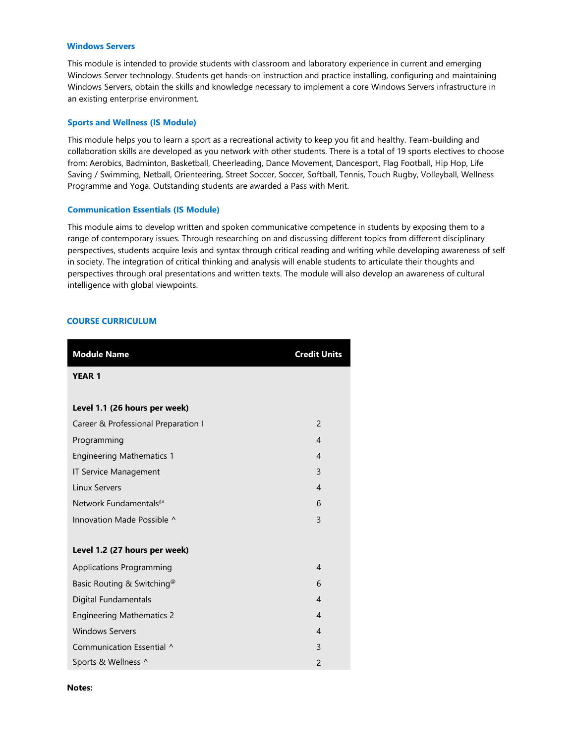## **Windows Servers**

This module is intended to provide students with classroom and laboratory experience in current and emerging Windows Server technology. Students get hands-on instruction and practice installing, configuring and maintaining Windows Servers, obtain the skills and knowledge necessary to implement a core Windows Servers infrastructure in an existing enterprise environment.

#### **Sports and Wellness (IS Module)**

This module helps you to learn a sport as a recreational activity to keep you fit and healthy. Team-building and collaboration skills are developed as you network with other students. There is a total of 19 sports electives to choose from: Aerobics, Badminton, Basketball, Cheerleading, Dance Movement, Dancesport, Flag Football, Hip Hop, Life Saving / Swimming, Netball, Orienteering, Street Soccer, Soccer, Softball, Tennis, Touch Rugby, Volleyball, Wellness Programme and Yoga. Outstanding students are awarded a Pass with Merit.

#### **Communication Essentials (IS Module)**

This module aims to develop written and spoken communicative competence in students by exposing them to a range of contemporary issues. Through researching on and discussing different topics from different disciplinary perspectives, students acquire lexis and syntax through critical reading and writing while developing awareness of self in society. The integration of critical thinking and analysis will enable students to articulate their thoughts and perspectives through oral presentations and written texts. The module will also develop an awareness of cultural intelligence with global viewpoints.

# **COURSE CURRICULUM**

| <b>Module Name</b>                     | <b>Credit Units</b> |
|----------------------------------------|---------------------|
| <b>YEAR 1</b>                          |                     |
|                                        |                     |
| Level 1.1 (26 hours per week)          |                     |
| Career & Professional Preparation I    | $\overline{2}$      |
| Programming                            | $\overline{4}$      |
| <b>Engineering Mathematics 1</b>       | $\overline{4}$      |
| <b>IT Service Management</b>           | $\overline{3}$      |
| <b>Linux Servers</b>                   | $\overline{4}$      |
| Network Fundamentals <sup>@</sup>      | 6                   |
| Innovation Made Possible ^             | 3                   |
|                                        |                     |
| Level 1.2 (27 hours per week)          |                     |
| <b>Applications Programming</b>        | 4                   |
| Basic Routing & Switching <sup>@</sup> | 6                   |
| Digital Fundamentals                   | $\overline{4}$      |
| <b>Engineering Mathematics 2</b>       | $\overline{4}$      |
| <b>Windows Servers</b>                 | $\overline{4}$      |
| Communication Essential ^              | 3                   |
| Sports & Wellness ^                    | $\overline{2}$      |

**Notes:**